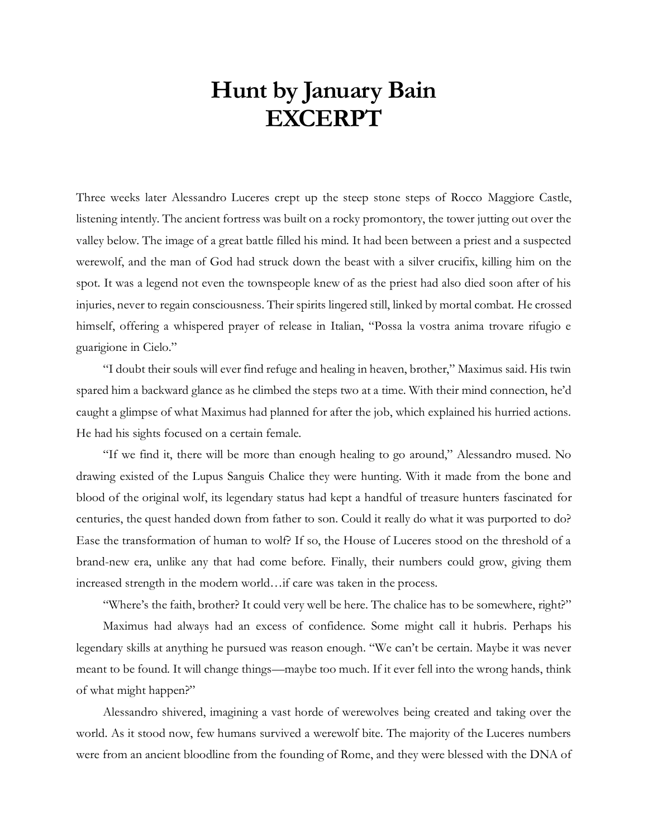## **Hunt by January Bain EXCERPT**

Three weeks later Alessandro Luceres crept up the steep stone steps of Rocco Maggiore Castle, listening intently. The ancient fortress was built on a rocky promontory, the tower jutting out over the valley below. The image of a great battle filled his mind. It had been between a priest and a suspected werewolf, and the man of God had struck down the beast with a silver crucifix, killing him on the spot. It was a legend not even the townspeople knew of as the priest had also died soon after of his injuries, never to regain consciousness. Their spirits lingered still, linked by mortal combat. He crossed himself, offering a whispered prayer of release in Italian, "Possa la vostra anima trovare rifugio e guarigione in Cielo."

"I doubt their souls will ever find refuge and healing in heaven, brother," Maximus said. His twin spared him a backward glance as he climbed the steps two at a time. With their mind connection, he'd caught a glimpse of what Maximus had planned for after the job, which explained his hurried actions. He had his sights focused on a certain female.

"If we find it, there will be more than enough healing to go around," Alessandro mused. No drawing existed of the Lupus Sanguis Chalice they were hunting. With it made from the bone and blood of the original wolf, its legendary status had kept a handful of treasure hunters fascinated for centuries, the quest handed down from father to son. Could it really do what it was purported to do? Ease the transformation of human to wolf? If so, the House of Luceres stood on the threshold of a brand-new era, unlike any that had come before. Finally, their numbers could grow, giving them increased strength in the modern world…if care was taken in the process.

"Where's the faith, brother? It could very well be here. The chalice has to be somewhere, right?" Maximus had always had an excess of confidence. Some might call it hubris. Perhaps his legendary skills at anything he pursued was reason enough. "We can't be certain. Maybe it was never meant to be found. It will change things—maybe too much. If it ever fell into the wrong hands, think of what might happen?"

Alessandro shivered, imagining a vast horde of werewolves being created and taking over the world. As it stood now, few humans survived a werewolf bite. The majority of the Luceres numbers were from an ancient bloodline from the founding of Rome, and they were blessed with the DNA of